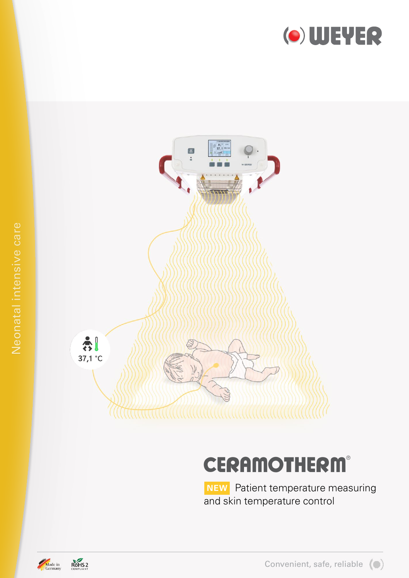



# **CERAMOTHERM**®

**NEW** Patient temperature measuring and skin temperature control